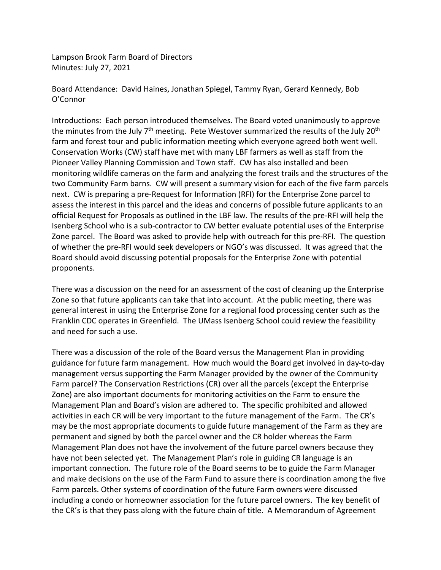Lampson Brook Farm Board of Directors Minutes: July 27, 2021

Board Attendance: David Haines, Jonathan Spiegel, Tammy Ryan, Gerard Kennedy, Bob O'Connor

Introductions: Each person introduced themselves. The Board voted unanimously to approve the minutes from the July 7<sup>th</sup> meeting. Pete Westover summarized the results of the July 20<sup>th</sup> farm and forest tour and public information meeting which everyone agreed both went well. Conservation Works (CW) staff have met with many LBF farmers as well as staff from the Pioneer Valley Planning Commission and Town staff. CW has also installed and been monitoring wildlife cameras on the farm and analyzing the forest trails and the structures of the two Community Farm barns. CW will present a summary vision for each of the five farm parcels next. CW is preparing a pre-Request for Information (RFI) for the Enterprise Zone parcel to assess the interest in this parcel and the ideas and concerns of possible future applicants to an official Request for Proposals as outlined in the LBF law. The results of the pre-RFI will help the Isenberg School who is a sub-contractor to CW better evaluate potential uses of the Enterprise Zone parcel. The Board was asked to provide help with outreach for this pre-RFI. The question of whether the pre-RFI would seek developers or NGO's was discussed. It was agreed that the Board should avoid discussing potential proposals for the Enterprise Zone with potential proponents.

There was a discussion on the need for an assessment of the cost of cleaning up the Enterprise Zone so that future applicants can take that into account. At the public meeting, there was general interest in using the Enterprise Zone for a regional food processing center such as the Franklin CDC operates in Greenfield. The UMass Isenberg School could review the feasibility and need for such a use.

There was a discussion of the role of the Board versus the Management Plan in providing guidance for future farm management. How much would the Board get involved in day-to-day management versus supporting the Farm Manager provided by the owner of the Community Farm parcel? The Conservation Restrictions (CR) over all the parcels (except the Enterprise Zone) are also important documents for monitoring activities on the Farm to ensure the Management Plan and Board's vision are adhered to. The specific prohibited and allowed activities in each CR will be very important to the future management of the Farm. The CR's may be the most appropriate documents to guide future management of the Farm as they are permanent and signed by both the parcel owner and the CR holder whereas the Farm Management Plan does not have the involvement of the future parcel owners because they have not been selected yet. The Management Plan's role in guiding CR language is an important connection. The future role of the Board seems to be to guide the Farm Manager and make decisions on the use of the Farm Fund to assure there is coordination among the five Farm parcels. Other systems of coordination of the future Farm owners were discussed including a condo or homeowner association for the future parcel owners. The key benefit of the CR's is that they pass along with the future chain of title. A Memorandum of Agreement